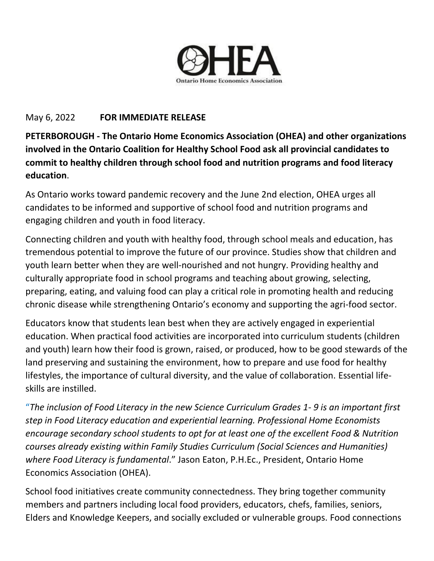

## May 6, 2022 **FOR IMMEDIATE RELEASE**

**PETERBOROUGH - The Ontario Home Economics Association (OHEA) and other organizations involved in the Ontario Coalition for Healthy School Food ask all provincial candidates to commit to healthy children through school food and nutrition programs and food literacy education**.

As Ontario works toward pandemic recovery and the June 2nd election, OHEA urges all candidates to be informed and supportive of school food and nutrition programs and engaging children and youth in food literacy.

Connecting children and youth with healthy food, through school meals and education, has tremendous potential to improve the future of our province. Studies show that children and youth learn better when they are well-nourished and not hungry. Providing healthy and culturally appropriate food in school programs and teaching about growing, selecting, preparing, eating, and valuing food can play a critical role in promoting health and reducing chronic disease while strengthening Ontario's economy and supporting the agri-food sector.

Educators know that students lean best when they are actively engaged in experiential education. When practical food activities are incorporated into curriculum students (children and youth) learn how their food is grown, raised, or produced, how to be good stewards of the land preserving and sustaining the environment, how to prepare and use food for healthy lifestyles, the importance of cultural diversity, and the value of collaboration. Essential lifeskills are instilled.

"*The inclusion of Food Literacy in the new Science Curriculum Grades 1- 9 is an important first step in Food Literacy education and experiential learning. Professional Home Economists encourage secondary school students to opt for at least one of the excellent Food & Nutrition courses already existing within Family Studies Curriculum (Social Sciences and Humanities) where Food Literacy is fundamental*." Jason Eaton, [P.H.Ec.](http://p.h.ec/), President, Ontario Home Economics Association (OHEA).

School food initiatives create community connectedness. They bring together community members and partners including local food providers, educators, chefs, families, seniors, Elders and Knowledge Keepers, and socially excluded or vulnerable groups. Food connections